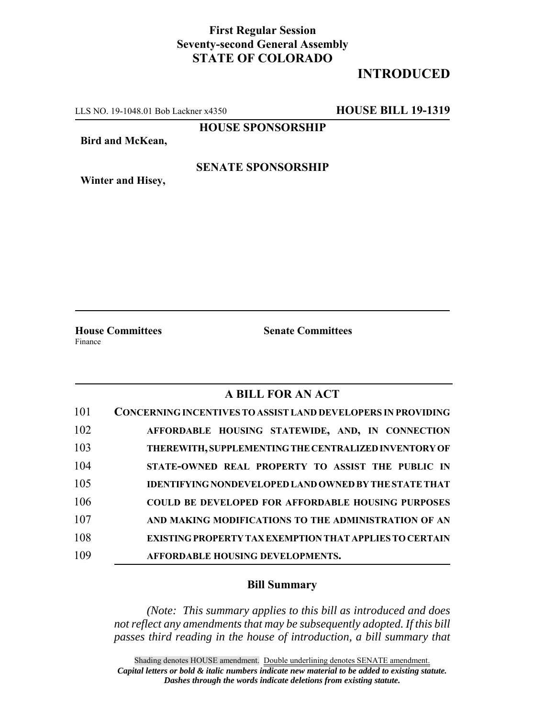## **First Regular Session Seventy-second General Assembly STATE OF COLORADO**

## **INTRODUCED**

LLS NO. 19-1048.01 Bob Lackner x4350 **HOUSE BILL 19-1319**

**HOUSE SPONSORSHIP**

**Bird and McKean,**

#### **SENATE SPONSORSHIP**

**Winter and Hisey,**

Finance

**House Committees Senate Committees**

### **A BILL FOR AN ACT**

| 101 | <b>CONCERNING INCENTIVES TO ASSIST LAND DEVELOPERS IN PROVIDING</b> |
|-----|---------------------------------------------------------------------|
| 102 | AFFORDABLE HOUSING STATEWIDE, AND, IN CONNECTION                    |
| 103 | THEREWITH, SUPPLEMENTING THE CENTRALIZED INVENTORY OF               |
| 104 | STATE-OWNED REAL PROPERTY TO ASSIST THE PUBLIC IN                   |
| 105 | <b>IDENTIFYING NONDEVELOPED LAND OWNED BY THE STATE THAT</b>        |
| 106 | <b>COULD BE DEVELOPED FOR AFFORDABLE HOUSING PURPOSES</b>           |
| 107 | AND MAKING MODIFICATIONS TO THE ADMINISTRATION OF AN                |
| 108 | <b>EXISTING PROPERTY TAX EXEMPTION THAT APPLIES TO CERTAIN</b>      |
| 109 | AFFORDABLE HOUSING DEVELOPMENTS.                                    |

#### **Bill Summary**

*(Note: This summary applies to this bill as introduced and does not reflect any amendments that may be subsequently adopted. If this bill passes third reading in the house of introduction, a bill summary that*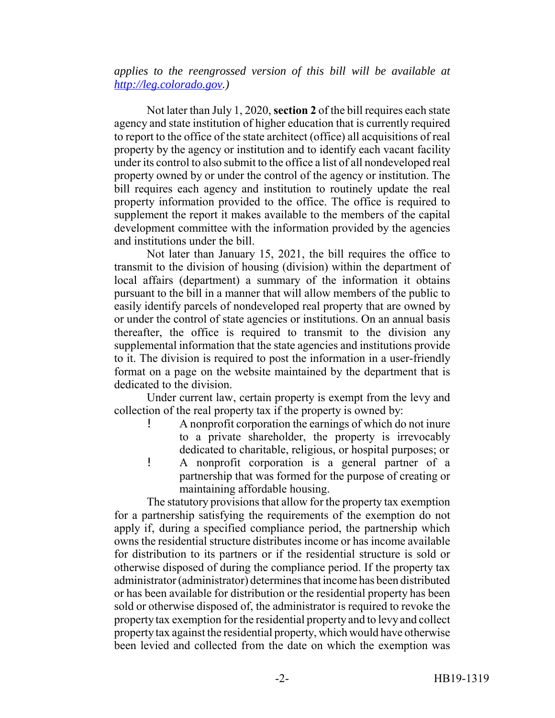*applies to the reengrossed version of this bill will be available at http://leg.colorado.gov.)*

Not later than July 1, 2020, **section 2** of the bill requires each state agency and state institution of higher education that is currently required to report to the office of the state architect (office) all acquisitions of real property by the agency or institution and to identify each vacant facility under its control to also submit to the office a list of all nondeveloped real property owned by or under the control of the agency or institution. The bill requires each agency and institution to routinely update the real property information provided to the office. The office is required to supplement the report it makes available to the members of the capital development committee with the information provided by the agencies and institutions under the bill.

Not later than January 15, 2021, the bill requires the office to transmit to the division of housing (division) within the department of local affairs (department) a summary of the information it obtains pursuant to the bill in a manner that will allow members of the public to easily identify parcels of nondeveloped real property that are owned by or under the control of state agencies or institutions. On an annual basis thereafter, the office is required to transmit to the division any supplemental information that the state agencies and institutions provide to it. The division is required to post the information in a user-friendly format on a page on the website maintained by the department that is dedicated to the division.

Under current law, certain property is exempt from the levy and collection of the real property tax if the property is owned by:

- ! A nonprofit corporation the earnings of which do not inure to a private shareholder, the property is irrevocably dedicated to charitable, religious, or hospital purposes; or
- ! A nonprofit corporation is a general partner of a partnership that was formed for the purpose of creating or maintaining affordable housing.

The statutory provisions that allow for the property tax exemption for a partnership satisfying the requirements of the exemption do not apply if, during a specified compliance period, the partnership which owns the residential structure distributes income or has income available for distribution to its partners or if the residential structure is sold or otherwise disposed of during the compliance period. If the property tax administrator (administrator) determines that income has been distributed or has been available for distribution or the residential property has been sold or otherwise disposed of, the administrator is required to revoke the property tax exemption for the residential property and to levy and collect property tax against the residential property, which would have otherwise been levied and collected from the date on which the exemption was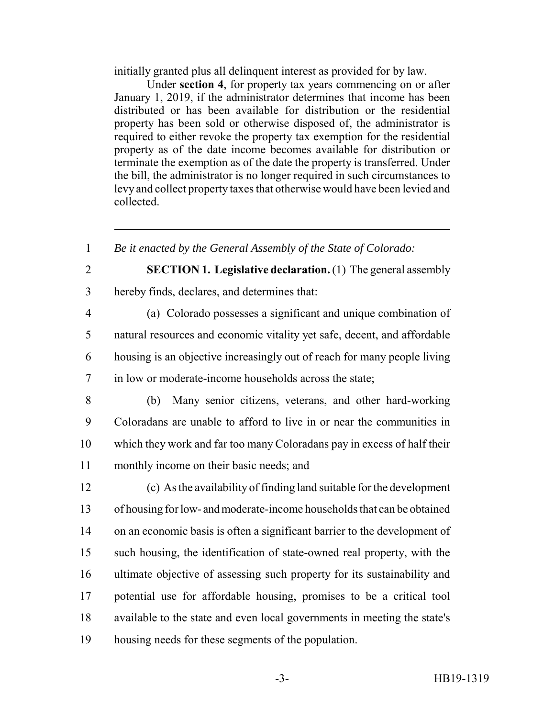initially granted plus all delinquent interest as provided for by law.

Under **section 4**, for property tax years commencing on or after January 1, 2019, if the administrator determines that income has been distributed or has been available for distribution or the residential property has been sold or otherwise disposed of, the administrator is required to either revoke the property tax exemption for the residential property as of the date income becomes available for distribution or terminate the exemption as of the date the property is transferred. Under the bill, the administrator is no longer required in such circumstances to levy and collect property taxes that otherwise would have been levied and collected.

*Be it enacted by the General Assembly of the State of Colorado:*

# **SECTION 1. Legislative declaration.** (1) The general assembly

hereby finds, declares, and determines that:

 (a) Colorado possesses a significant and unique combination of natural resources and economic vitality yet safe, decent, and affordable housing is an objective increasingly out of reach for many people living in low or moderate-income households across the state;

 (b) Many senior citizens, veterans, and other hard-working Coloradans are unable to afford to live in or near the communities in which they work and far too many Coloradans pay in excess of half their monthly income on their basic needs; and

 (c) As the availability of finding land suitable for the development of housing for low- and moderate-income households that can be obtained on an economic basis is often a significant barrier to the development of such housing, the identification of state-owned real property, with the ultimate objective of assessing such property for its sustainability and potential use for affordable housing, promises to be a critical tool available to the state and even local governments in meeting the state's housing needs for these segments of the population.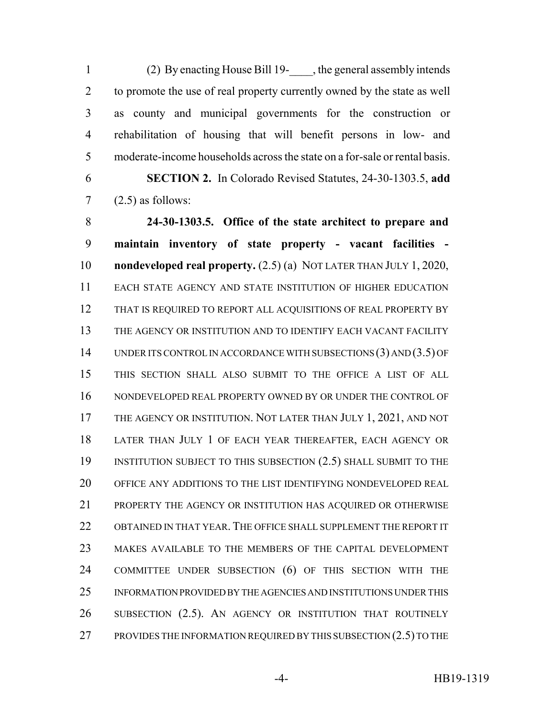(2) By enacting House Bill 19-\_\_\_\_, the general assembly intends to promote the use of real property currently owned by the state as well as county and municipal governments for the construction or rehabilitation of housing that will benefit persons in low- and moderate-income households across the state on a for-sale or rental basis.

 **SECTION 2.** In Colorado Revised Statutes, 24-30-1303.5, **add**  $7 \qquad (2.5)$  as follows:

 **24-30-1303.5. Office of the state architect to prepare and maintain inventory of state property - vacant facilities - nondeveloped real property.** (2.5) (a) NOT LATER THAN JULY 1, 2020, EACH STATE AGENCY AND STATE INSTITUTION OF HIGHER EDUCATION 12 THAT IS REQUIRED TO REPORT ALL ACQUISITIONS OF REAL PROPERTY BY THE AGENCY OR INSTITUTION AND TO IDENTIFY EACH VACANT FACILITY UNDER ITS CONTROL IN ACCORDANCE WITH SUBSECTIONS (3) AND (3.5) OF THIS SECTION SHALL ALSO SUBMIT TO THE OFFICE A LIST OF ALL NONDEVELOPED REAL PROPERTY OWNED BY OR UNDER THE CONTROL OF 17 THE AGENCY OR INSTITUTION. NOT LATER THAN JULY 1, 2021, AND NOT LATER THAN JULY 1 OF EACH YEAR THEREAFTER, EACH AGENCY OR 19 INSTITUTION SUBJECT TO THIS SUBSECTION (2.5) SHALL SUBMIT TO THE OFFICE ANY ADDITIONS TO THE LIST IDENTIFYING NONDEVELOPED REAL PROPERTY THE AGENCY OR INSTITUTION HAS ACQUIRED OR OTHERWISE OBTAINED IN THAT YEAR. THE OFFICE SHALL SUPPLEMENT THE REPORT IT MAKES AVAILABLE TO THE MEMBERS OF THE CAPITAL DEVELOPMENT COMMITTEE UNDER SUBSECTION (6) OF THIS SECTION WITH THE INFORMATION PROVIDED BY THE AGENCIES AND INSTITUTIONS UNDER THIS SUBSECTION (2.5). AN AGENCY OR INSTITUTION THAT ROUTINELY 27 PROVIDES THE INFORMATION REQUIRED BY THIS SUBSECTION (2.5) TO THE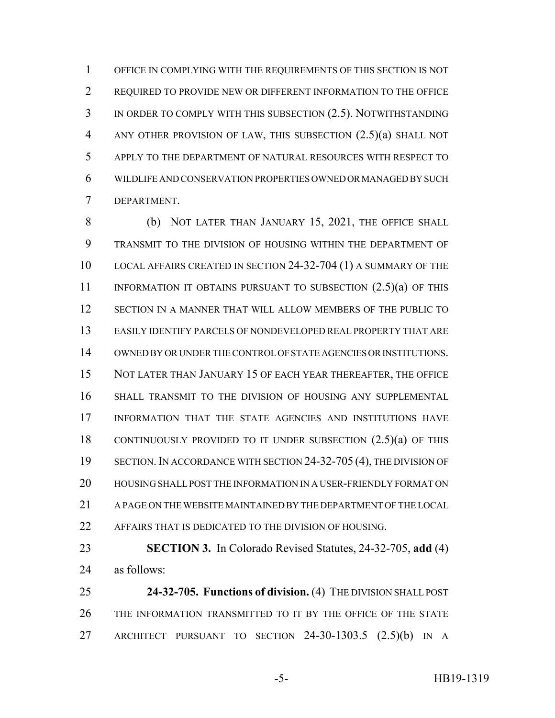OFFICE IN COMPLYING WITH THE REQUIREMENTS OF THIS SECTION IS NOT REQUIRED TO PROVIDE NEW OR DIFFERENT INFORMATION TO THE OFFICE IN ORDER TO COMPLY WITH THIS SUBSECTION (2.5). NOTWITHSTANDING ANY OTHER PROVISION OF LAW, THIS SUBSECTION (2.5)(a) SHALL NOT APPLY TO THE DEPARTMENT OF NATURAL RESOURCES WITH RESPECT TO WILDLIFE AND CONSERVATION PROPERTIES OWNED OR MANAGED BY SUCH DEPARTMENT.

8 (b) NOT LATER THAN JANUARY 15, 2021, THE OFFICE SHALL TRANSMIT TO THE DIVISION OF HOUSING WITHIN THE DEPARTMENT OF LOCAL AFFAIRS CREATED IN SECTION 24-32-704 (1) A SUMMARY OF THE 11 INFORMATION IT OBTAINS PURSUANT TO SUBSECTION  $(2.5)(a)$  OF THIS SECTION IN A MANNER THAT WILL ALLOW MEMBERS OF THE PUBLIC TO EASILY IDENTIFY PARCELS OF NONDEVELOPED REAL PROPERTY THAT ARE OWNED BY OR UNDER THE CONTROL OF STATE AGENCIES OR INSTITUTIONS. NOT LATER THAN JANUARY 15 OF EACH YEAR THEREAFTER, THE OFFICE SHALL TRANSMIT TO THE DIVISION OF HOUSING ANY SUPPLEMENTAL INFORMATION THAT THE STATE AGENCIES AND INSTITUTIONS HAVE CONTINUOUSLY PROVIDED TO IT UNDER SUBSECTION (2.5)(a) OF THIS SECTION.IN ACCORDANCE WITH SECTION 24-32-705 (4), THE DIVISION OF HOUSING SHALL POST THE INFORMATION IN A USER-FRIENDLY FORMAT ON A PAGE ON THE WEBSITE MAINTAINED BY THE DEPARTMENT OF THE LOCAL 22 AFFAIRS THAT IS DEDICATED TO THE DIVISION OF HOUSING.

 **SECTION 3.** In Colorado Revised Statutes, 24-32-705, **add** (4) as follows:

 **24-32-705. Functions of division.** (4) THE DIVISION SHALL POST THE INFORMATION TRANSMITTED TO IT BY THE OFFICE OF THE STATE ARCHITECT PURSUANT TO SECTION 24-30-1303.5 (2.5)(b) IN A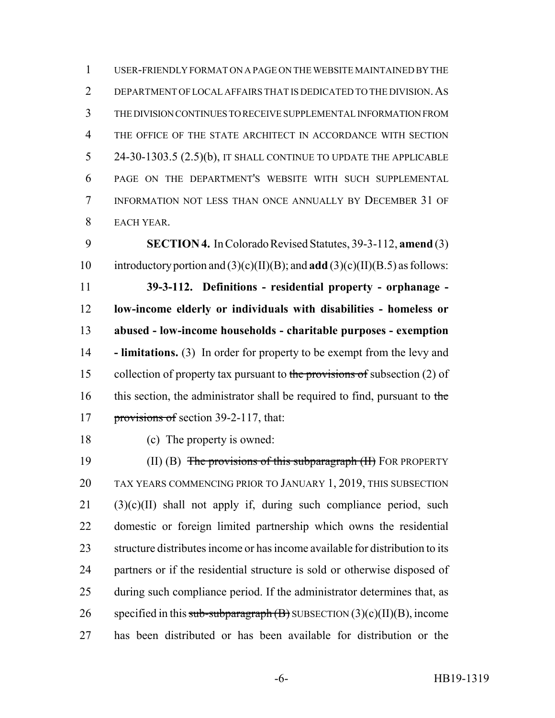USER-FRIENDLY FORMAT ON A PAGE ON THE WEBSITE MAINTAINED BY THE 2 DEPARTMENT OF LOCAL AFFAIRS THAT IS DEDICATED TO THE DIVISION. AS THE DIVISION CONTINUES TO RECEIVE SUPPLEMENTAL INFORMATION FROM 4 THE OFFICE OF THE STATE ARCHITECT IN ACCORDANCE WITH SECTION 5 24-30-1303.5 (2.5)(b), IT SHALL CONTINUE TO UPDATE THE APPLICABLE PAGE ON THE DEPARTMENT'S WEBSITE WITH SUCH SUPPLEMENTAL INFORMATION NOT LESS THAN ONCE ANNUALLY BY DECEMBER 31 OF EACH YEAR.

 **SECTION 4.** In Colorado Revised Statutes, 39-3-112, **amend** (3) introductory portion and (3)(c)(II)(B); and **add** (3)(c)(II)(B.5) as follows:

 **39-3-112. Definitions - residential property - orphanage - low-income elderly or individuals with disabilities - homeless or abused - low-income households - charitable purposes - exemption - limitations.** (3) In order for property to be exempt from the levy and 15 collection of property tax pursuant to the provisions of subsection (2) of 16 this section, the administrator shall be required to find, pursuant to the 17 provisions of section 39-2-117, that:

(c) The property is owned:

19 (II) (B) The provisions of this subparagraph (II) FOR PROPERTY TAX YEARS COMMENCING PRIOR TO JANUARY 1, 2019, THIS SUBSECTION (3)(c)(II) shall not apply if, during such compliance period, such domestic or foreign limited partnership which owns the residential structure distributes income or has income available for distribution to its partners or if the residential structure is sold or otherwise disposed of 25 during such compliance period. If the administrator determines that, as 26 specified in this sub-subparagraph  $(B)$  SUBSECTION  $(3)(c)(II)(B)$ , income has been distributed or has been available for distribution or the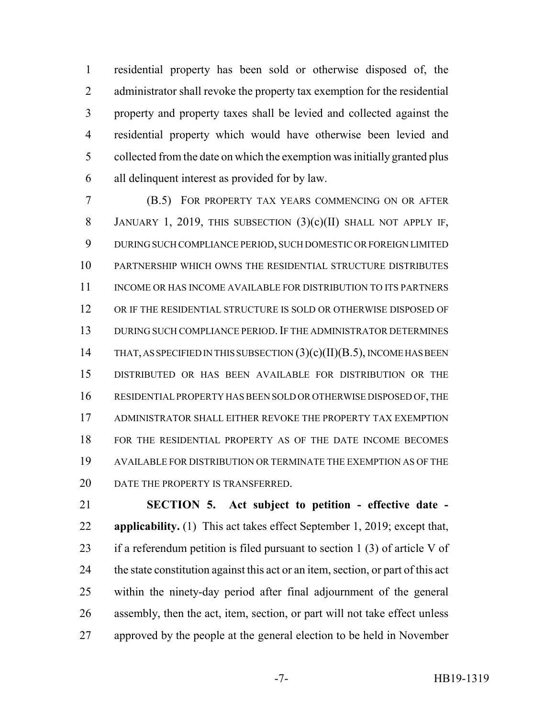residential property has been sold or otherwise disposed of, the administrator shall revoke the property tax exemption for the residential property and property taxes shall be levied and collected against the residential property which would have otherwise been levied and collected from the date on which the exemption was initially granted plus all delinquent interest as provided for by law.

 (B.5) FOR PROPERTY TAX YEARS COMMENCING ON OR AFTER 8 JANUARY 1, 2019, THIS SUBSECTION  $(3)(c)(II)$  SHALL NOT APPLY IF, DURING SUCH COMPLIANCE PERIOD, SUCH DOMESTIC OR FOREIGN LIMITED PARTNERSHIP WHICH OWNS THE RESIDENTIAL STRUCTURE DISTRIBUTES INCOME OR HAS INCOME AVAILABLE FOR DISTRIBUTION TO ITS PARTNERS OR IF THE RESIDENTIAL STRUCTURE IS SOLD OR OTHERWISE DISPOSED OF DURING SUCH COMPLIANCE PERIOD.IF THE ADMINISTRATOR DETERMINES 14 THAT, AS SPECIFIED IN THIS SUBSECTION  $(3)(c)(II)(B.5)$ , INCOME HAS BEEN DISTRIBUTED OR HAS BEEN AVAILABLE FOR DISTRIBUTION OR THE RESIDENTIAL PROPERTY HAS BEEN SOLD OR OTHERWISE DISPOSED OF, THE ADMINISTRATOR SHALL EITHER REVOKE THE PROPERTY TAX EXEMPTION FOR THE RESIDENTIAL PROPERTY AS OF THE DATE INCOME BECOMES AVAILABLE FOR DISTRIBUTION OR TERMINATE THE EXEMPTION AS OF THE 20 DATE THE PROPERTY IS TRANSFERRED.

 **SECTION 5. Act subject to petition - effective date - applicability.** (1) This act takes effect September 1, 2019; except that, if a referendum petition is filed pursuant to section 1 (3) of article V of the state constitution against this act or an item, section, or part of this act within the ninety-day period after final adjournment of the general assembly, then the act, item, section, or part will not take effect unless approved by the people at the general election to be held in November